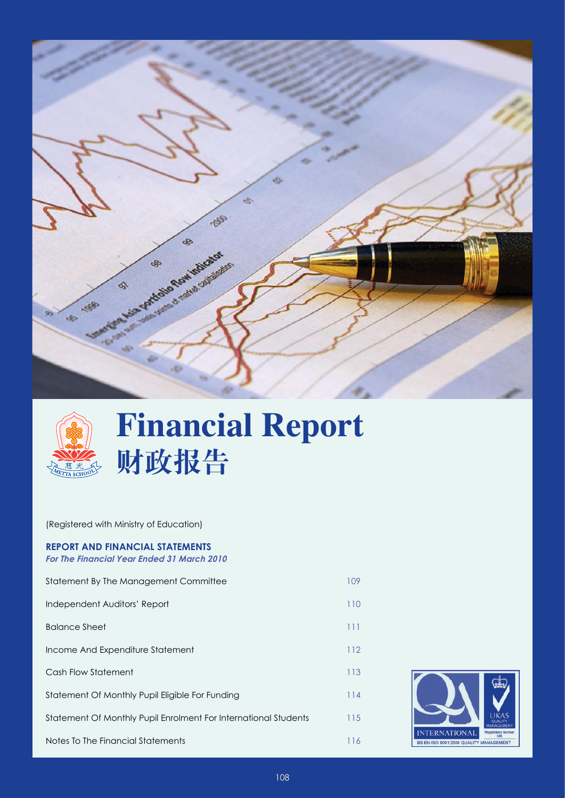



# **Financial Report 财政报告**

(Registered with Ministry of Education)

# **Report And Financial Statements**

*For The Financial Year Ended 31 March 2010*

| Statement By The Management Committee                           | 109 |
|-----------------------------------------------------------------|-----|
| Independent Auditors' Report                                    | 110 |
| <b>Balance Sheet</b>                                            | 111 |
| Income And Expenditure Statement                                | 112 |
| Cash Flow Statement                                             | 113 |
| Statement Of Monthly Pupil Eligible For Funding                 | 114 |
| Statement Of Monthly Pupil Enrolment For International Students | 115 |
| Notes To The Financial Statements                               | 116 |

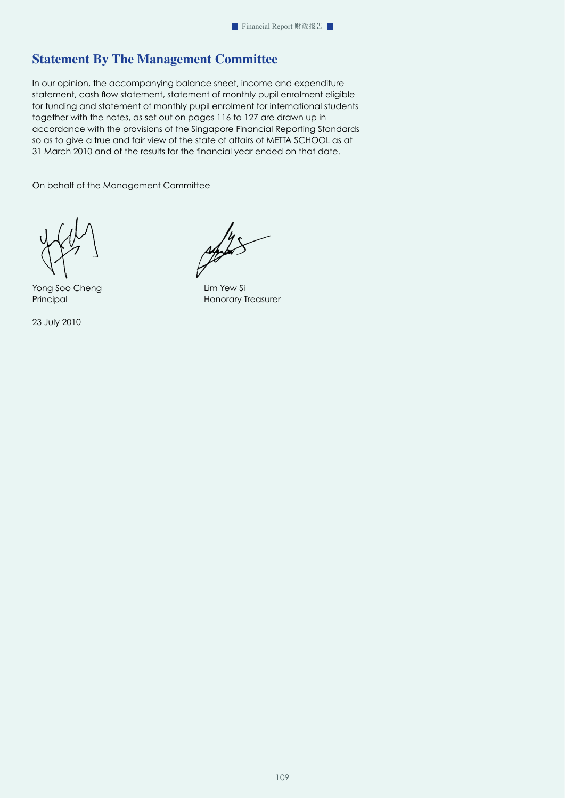# **Statement By The Management Committee**

In our opinion, the accompanying balance sheet, income and expenditure statement, cash flow statement, statement of monthly pupil enrolment eligible for funding and statement of monthly pupil enrolment for international students together with the notes, as set out on pages 116 to 127 are drawn up in accordance with the provisions of the Singapore Financial Reporting Standards so as to give a true and fair view of the state of affairs of METTA SCHOOL as at 31 March 2010 and of the results for the financial year ended on that date.

On behalf of the Management Committee

Yong Soo Cheng **Lim Yew Si** 

23 July 2010

Principal **Honorary Treasurer**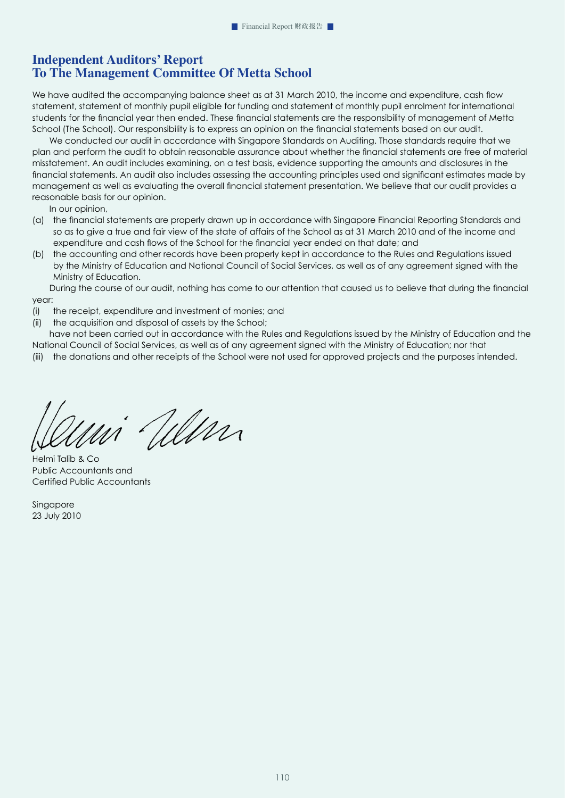# **Independent Auditors' Report To The Management Committee Of Metta School**

We have audited the accompanying balance sheet as at 31 March 2010, the income and expenditure, cash flow statement, statement of monthly pupil eligible for funding and statement of monthly pupil enrolment for international students for the financial year then ended. These financial statements are the responsibility of management of Metta School (The School). Our responsibility is to express an opinion on the financial statements based on our audit.

We conducted our audit in accordance with Singapore Standards on Auditing. Those standards require that we plan and perform the audit to obtain reasonable assurance about whether the financial statements are free of material misstatement. An audit includes examining, on a test basis, evidence supporting the amounts and disclosures in the financial statements. An audit also includes assessing the accounting principles used and significant estimates made by management as well as evaluating the overall financial statement presentation. We believe that our audit provides a reasonable basis for our opinion.

In our opinion,

- (a) the financial statements are properly drawn up in accordance with Singapore Financial Reporting Standards and so as to give a true and fair view of the state of affairs of the School as at 31 March 2010 and of the income and expenditure and cash flows of the School for the financial year ended on that date; and
- (b) the accounting and other records have been properly kept in accordance to the Rules and Regulations issued by the Ministry of Education and National Council of Social Services, as well as of any agreement signed with the Ministry of Education.

During the course of our audit, nothing has come to our attention that caused us to believe that during the financial year:

- (i) the receipt, expenditure and investment of monies; and
- (ii) the acquisition and disposal of assets by the School;

have not been carried out in accordance with the Rules and Regulations issued by the Ministry of Education and the National Council of Social Services, as well as of any agreement signed with the Ministry of Education; nor that

(iii) the donations and other receipts of the School were not used for approved projects and the purposes intended.

Will

Helmi Talib & Co Public Accountants and Certified Public Accountants

**Singapore** 23 July 2010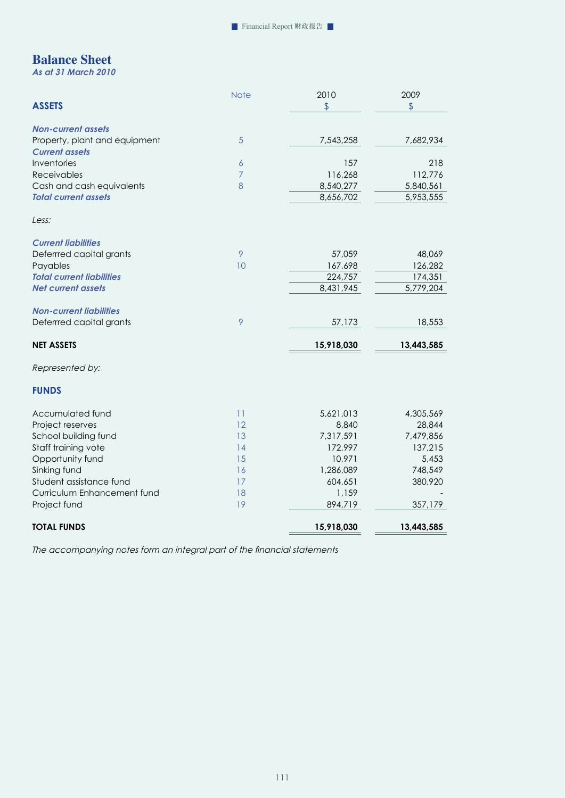# **Balance Sheet**

*As at 31 March 2010* 

|                                                            | <b>Note</b>    | 2010       | 2009           |
|------------------------------------------------------------|----------------|------------|----------------|
| <b>ASSETS</b>                                              |                | \$         | $\mathfrak{P}$ |
|                                                            |                |            |                |
| <b>Non-current assets</b><br>Property, plant and equipment | 5              | 7,543,258  | 7,682,934      |
| <b>Current assets</b>                                      |                |            |                |
| Inventories                                                | $\overline{6}$ | 157        | 218            |
| Receivables                                                | 7              | 116,268    | 112,776        |
| Cash and cash equivalents                                  | 8              | 8,540,277  | 5,840,561      |
| <b>Total current assets</b>                                |                | 8,656,702  | 5,953,555      |
|                                                            |                |            |                |
| Less:                                                      |                |            |                |
| <b>Current liabilities</b>                                 |                |            |                |
| Deferrred capital grants                                   | 9              | 57,059     | 48,069         |
| Payables                                                   | 10             | 167,698    | 126,282        |
| <b>Total current liabilities</b>                           |                | 224,757    | 174,351        |
| <b>Net current assets</b>                                  |                | 8,431,945  | 5,779,204      |
| <b>Non-current liabilities</b>                             |                |            |                |
| Deferrred capital grants                                   | 9              | 57,173     | 18,553         |
|                                                            |                |            |                |
| <b>NET ASSETS</b>                                          |                | 15,918,030 | 13,443,585     |
| Represented by:                                            |                |            |                |
| <b>FUNDS</b>                                               |                |            |                |
| Accumulated fund                                           | 11             | 5,621,013  | 4,305,569      |
| Project reserves                                           | 12             | 8,840      | 28,844         |
| School building fund                                       | 13             | 7,317,591  | 7,479,856      |
| Staff training vote                                        | 14             | 172,997    | 137,215        |
| Opportunity fund                                           | 15             | 10,971     | 5,453          |
| Sinking fund                                               | 16             | 1,286,089  | 748,549        |
| Student assistance fund                                    | 17             | 604,651    | 380,920        |
| Curriculum Enhancement fund                                | 18             | 1,159      |                |
| Project fund                                               | 19             | 894,719    | 357,179        |
| <b>TOTAL FUNDS</b>                                         |                | 15,918,030 | 13,443,585     |

*The accompanying notes form an integral part of the financial statements*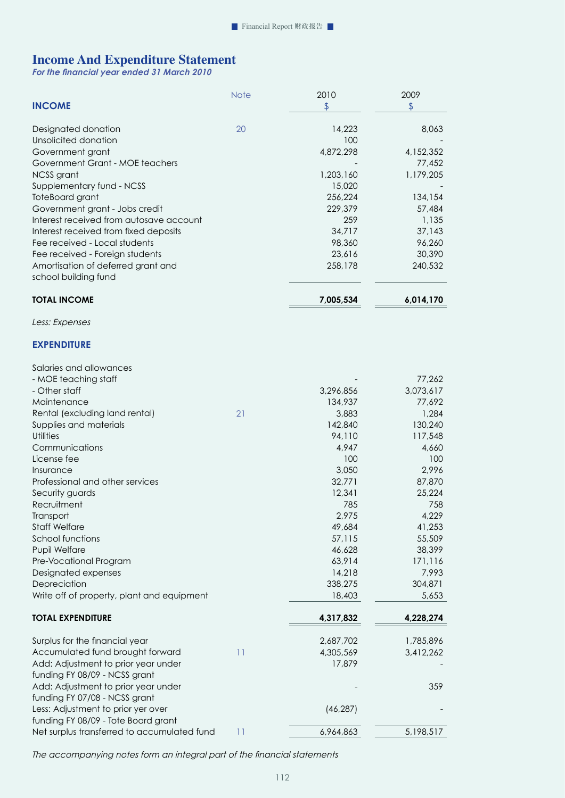# **Income And Expenditure Statement**

*For the financial year ended 31 March 2010* 

| <b>INCOME</b>                               | <b>Note</b> | 2010<br>\$ | 2009<br>\$ |
|---------------------------------------------|-------------|------------|------------|
| Designated donation                         | 20          | 14,223     | 8,063      |
| Unsolicited donation                        |             | 100        |            |
| Government grant                            |             | 4,872,298  | 4,152,352  |
| Government Grant - MOE teachers             |             |            | 77,452     |
| NCSS grant                                  |             | 1,203,160  | 1,179,205  |
| Supplementary fund - NCSS                   |             | 15,020     |            |
| ToteBoard grant                             |             | 256,224    | 134,154    |
| Government grant - Jobs credit              |             | 229,379    | 57,484     |
| Interest received from autosave account     |             | 259        | 1,135      |
| Interest received from fixed deposits       |             | 34,717     | 37,143     |
| Fee received - Local students               |             | 98,360     | 96,260     |
| Fee received - Foreign students             |             | 23,616     | 30,390     |
| Amortisation of deferred grant and          |             | 258,178    | 240,532    |
| school building fund                        |             |            |            |
| <b>TOTAL INCOME</b>                         |             | 7,005,534  | 6,014,170  |
| Less: Expenses                              |             |            |            |
| <b>EXPENDITURE</b>                          |             |            |            |
| Salaries and allowances                     |             |            |            |
| - MOE teaching staff                        |             |            | 77,262     |
| - Other staff                               |             | 3,296,856  | 3,073,617  |
| Maintenance                                 |             | 134,937    | 77,692     |
| Rental (excluding land rental)              | 21          | 3,883      | 1,284      |
| Supplies and materials                      |             | 142,840    | 130,240    |
| <b>Utilities</b>                            |             | 94,110     | 117,548    |
| Communications                              |             | 4,947      | 4,660      |
| License fee                                 |             | 100        | 100        |
| Insurance                                   |             | 3,050      | 2,996      |
| Professional and other services             |             | 32,771     | 87,870     |
| Security guards                             |             | 12,341     | 25,224     |
| Recruitment                                 |             | 785        | 758        |
| Transport                                   |             | 2,975      | 4,229      |
| <b>Staff Welfare</b>                        |             | 49,684     | 41,253     |
| School functions                            |             | 57,115     | 55,509     |
| Pupil Welfare                               |             | 46,628     | 38,399     |
| Pre-Vocational Program                      |             | 63,914     | 171,116    |
| Designated expenses                         |             | 14,218     | 7,993      |
| Depreciation                                |             | 338,275    | 304,871    |
| Write off of property, plant and equipment  |             | 18,403     | 5,653      |
| <b>TOTAL EXPENDITURE</b>                    |             | 4,317,832  | 4,228,274  |
| Surplus for the financial year              |             | 2,687,702  | 1,785,896  |
| Accumulated fund brought forward            | 11          | 4,305,569  | 3,412,262  |
| Add: Adjustment to prior year under         |             | 17,879     |            |
| funding FY 08/09 - NCSS grant               |             |            |            |
| Add: Adjustment to prior year under         |             |            | 359        |
| funding FY 07/08 - NCSS grant               |             |            |            |
| Less: Adjustment to prior yer over          |             | (46, 287)  |            |
| funding FY 08/09 - Tote Board grant         |             |            |            |
| Net surplus transferred to accumulated fund | 11          | 6,964,863  | 5,198,517  |

*The accompanying notes form an integral part of the financial statements*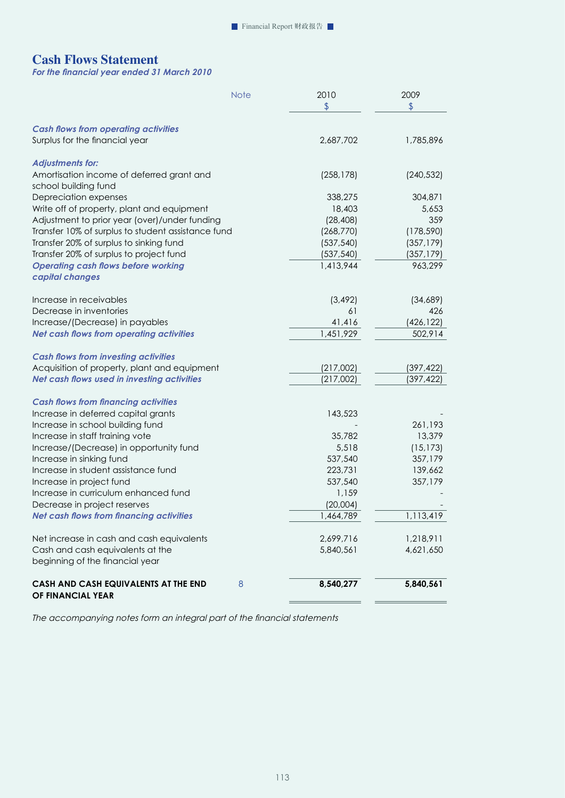# **Cash Flows Statement**

*For the financial year ended 31 March 2010* 

|                                                    | <b>Note</b> | 2010          | 2009          |
|----------------------------------------------------|-------------|---------------|---------------|
|                                                    |             | $\frac{1}{2}$ | $\frac{1}{2}$ |
| <b>Cash flows from operating activities</b>        |             |               |               |
| Surplus for the financial year                     |             | 2,687,702     | 1,785,896     |
|                                                    |             |               |               |
| <b>Adjustments for:</b>                            |             |               |               |
| Amortisation income of deferred grant and          |             | (258, 178)    | (240, 532)    |
| school building fund                               |             |               |               |
| Depreciation expenses                              |             | 338,275       | 304,871       |
| Write off of property, plant and equipment         |             | 18,403        | 5,653         |
| Adjustment to prior year (over)/under funding      |             | (28, 408)     | 359           |
| Transfer 10% of surplus to student assistance fund |             | (268, 770)    | (178, 590)    |
| Transfer 20% of surplus to sinking fund            |             | (537, 540)    | (357, 179)    |
| Transfer 20% of surplus to project fund            |             | (537, 540)    | (357, 179)    |
| <b>Operating cash flows before working</b>         |             | 1,413,944     | 963,299       |
| capital changes                                    |             |               |               |
| Increase in receivables                            |             | (3, 492)      | (34,689)      |
| Decrease in inventories                            |             | 61            | 426           |
| Increase/(Decrease) in payables                    |             | 41,416        | (426, 122)    |
| <b>Net cash flows from operating activities</b>    |             | 1,451,929     | 502,914       |
|                                                    |             |               |               |
| <b>Cash flows from investing activities</b>        |             |               |               |
| Acquisition of property, plant and equipment       |             | (217,002)     | (397, 422)    |
| Net cash flows used in investing activities        |             | (217,002)     | (397, 422)    |
| <b>Cash flows from financing activities</b>        |             |               |               |
| Increase in deferred capital grants                |             | 143,523       |               |
| Increase in school building fund                   |             |               | 261,193       |
| Increase in staff training vote                    |             | 35,782        | 13,379        |
| Increase/(Decrease) in opportunity fund            |             | 5,518         | (15, 173)     |
| Increase in sinking fund                           |             | 537,540       | 357,179       |
| Increase in student assistance fund                |             | 223,731       | 139,662       |
| Increase in project fund                           |             | 537,540       | 357,179       |
| Increase in curriculum enhanced fund               |             | 1,159         |               |
| Decrease in project reserves                       |             | (20,004)      |               |
| <b>Net cash flows from financing activities</b>    |             | 1,464,789     | 1,113,419     |
|                                                    |             |               | 1,218,911     |
| Net increase in cash and cash equivalents          |             | 2,699,716     |               |
| Cash and cash equivalents at the                   |             | 5,840,561     | 4,621,650     |
| beginning of the financial year                    |             |               |               |
| CASH AND CASH EQUIVALENTS AT THE END               | 8           | 8,540,277     | 5,840,561     |
| OF FINANCIAL YEAR                                  |             |               |               |

*The accompanying notes form an integral part of the financial statements*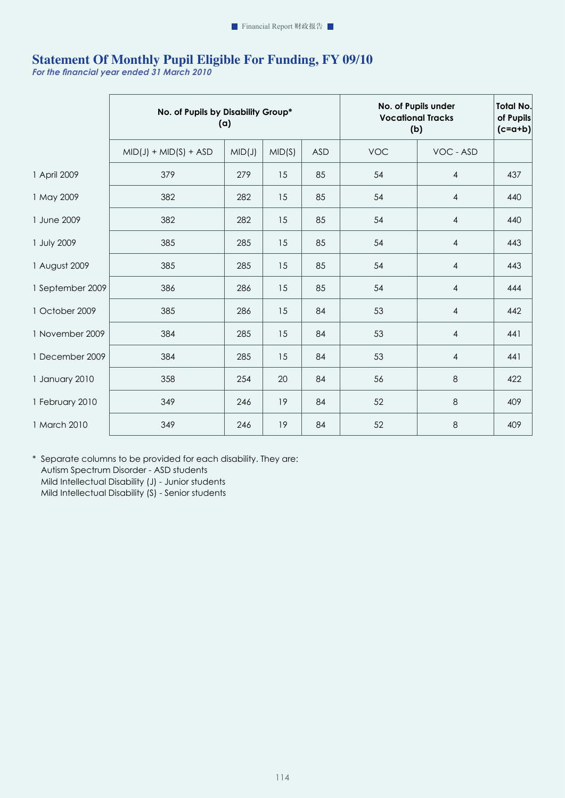# **Statement Of Monthly Pupil Eligible For Funding, FY 09/10**

*For the financial year ended 31 March 2010* 

|                  | No. of Pupils by Disability Group*<br>(a) |        | <b>Vocational Tracks</b><br>(b) | No. of Pupils under | <b>Total No.</b><br>of Pupils<br>$(c=a+b)$ |                |     |
|------------------|-------------------------------------------|--------|---------------------------------|---------------------|--------------------------------------------|----------------|-----|
|                  | $MID(J) + MID(S) + ASD$                   | MID(J) | MID(S)                          | <b>ASD</b>          | <b>VOC</b>                                 | VOC - ASD      |     |
| 1 April 2009     | 379                                       | 279    | 15                              | 85                  | 54                                         | 4              | 437 |
| 1 May 2009       | 382                                       | 282    | 15                              | 85                  | 54                                         | 4              | 440 |
| 1 June 2009      | 382                                       | 282    | 15                              | 85                  | 54                                         | 4              | 440 |
| 1 July 2009      | 385                                       | 285    | 15                              | 85                  | 54                                         | 4              | 443 |
| 1 August 2009    | 385                                       | 285    | 15                              | 85                  | 54                                         | 4              | 443 |
| 1 September 2009 | 386                                       | 286    | 15                              | 85                  | 54                                         | 4              | 444 |
| 1 October 2009   | 385                                       | 286    | 15                              | 84                  | 53                                         | 4              | 442 |
| 1 November 2009  | 384                                       | 285    | 15                              | 84                  | 53                                         | $\overline{4}$ | 441 |
| 1 December 2009  | 384                                       | 285    | 15                              | 84                  | 53                                         | 4              | 441 |
| 1 January 2010   | 358                                       | 254    | 20                              | 84                  | 56                                         | 8              | 422 |
| 1 February 2010  | 349                                       | 246    | 19                              | 84                  | 52                                         | 8              | 409 |
| 1 March 2010     | 349                                       | 246    | 19                              | 84                  | 52                                         | 8              | 409 |

\* Separate columns to be provided for each disability. They are: Autism Spectrum Disorder - ASD students Mild Intellectual Disability (J) - Junior students Mild Intellectual Disability (S) - Senior students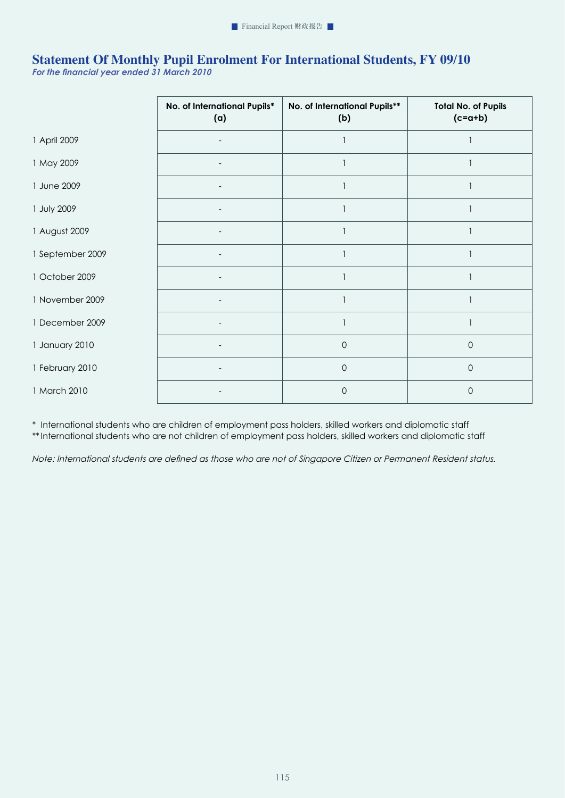# **Statement Of Monthly Pupil Enrolment For International Students, FY 09/10**

*For the financial year ended 31 March 2010* 

|                  | No. of International Pupils*<br>(a) | No. of International Pupils**<br>(b) | <b>Total No. of Pupils</b><br>$(c=a+b)$ |
|------------------|-------------------------------------|--------------------------------------|-----------------------------------------|
| 1 April 2009     |                                     |                                      |                                         |
| 1 May 2009       | $\overline{\phantom{a}}$            |                                      |                                         |
| 1 June 2009      |                                     |                                      |                                         |
| 1 July 2009      |                                     |                                      |                                         |
| 1 August 2009    |                                     |                                      |                                         |
| 1 September 2009 | $\overline{\phantom{a}}$            |                                      |                                         |
| 1 October 2009   |                                     |                                      |                                         |
| 1 November 2009  |                                     |                                      |                                         |
| 1 December 2009  |                                     |                                      |                                         |
| 1 January 2010   | $\overline{\phantom{a}}$            | $\mathbf{0}$                         | $\mathsf{O}$                            |
| 1 February 2010  |                                     | $\mathsf{O}$                         | $\mathsf{O}$                            |
| 1 March 2010     |                                     | $\mathbf 0$                          | $\mathbf 0$                             |

\* International students who are children of employment pass holders, skilled workers and diplomatic staff \*\* International students who are not children of employment pass holders, skilled workers and diplomatic staff

*Note: International students are defined as those who are not of Singapore Citizen or Permanent Resident status.*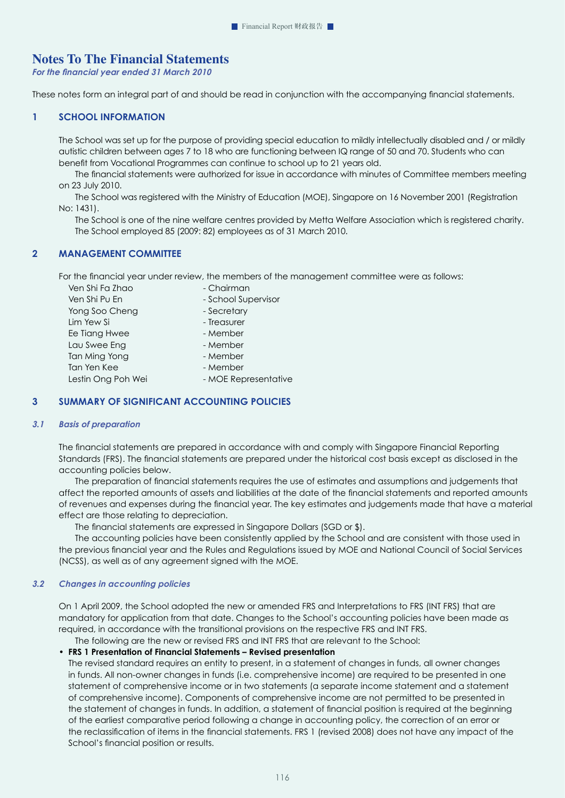# **Notes To The Financial Statements**

*For the financial year ended 31 March 2010* 

These notes form an integral part of and should be read in conjunction with the accompanying financial statements.

# **1 SCHOOL INFORMATION**

The School was set up for the purpose of providing special education to mildly intellectually disabled and / or mildly autistic children between ages 7 to 18 who are functioning between IQ range of 50 and 70. Students who can benefit from Vocational Programmes can continue to school up to 21 years old.

The financial statements were authorized for issue in accordance with minutes of Committee members meeting on 23 July 2010.

 The School was registered with the Ministry of Education (MOE), Singapore on 16 November 2001 (Registration No: 1431).

The School is one of the nine welfare centres provided by Metta Welfare Association which is registered charity. The School employed 85 (2009: 82) employees as of 31 March 2010.

# **2 MANAGEMENT COMMITTEE**

For the financial year under review, the members of the management committee were as follows:

| Ven Shi Fa Zhao    | - Chairman           |
|--------------------|----------------------|
| Ven Shi Pu En      | - School Supervisor  |
| Yong Soo Cheng     | - Secretary          |
| Lim Yew Si         | - Treasurer          |
| Ee Tiang Hwee      | - Member             |
| Lau Swee Eng       | - Member             |
| Tan Ming Yong      | - Member             |
| Tan Yen Kee        | - Member             |
| Lestin Ong Poh Wei | - MOE Representative |
|                    |                      |

# **3 SUMMARY OF SIGNIFICANT ACCOUNTING POLICIES**

## *3.1 Basis of preparation*

The financial statements are prepared in accordance with and comply with Singapore Financial Reporting Standards (FRS). The financial statements are prepared under the historical cost basis except as disclosed in the accounting policies below.

The preparation of financial statements requires the use of estimates and assumptions and judgements that affect the reported amounts of assets and liabilities at the date of the financial statements and reported amounts of revenues and expenses during the financial year. The key estimates and judgements made that have a material effect are those relating to depreciation.

The financial statements are expressed in Singapore Dollars (SGD or \$).

 The accounting policies have been consistently applied by the School and are consistent with those used in the previous financial year and the Rules and Regulations issued by MOE and National Council of Social Services (NCSS), as well as of any agreement signed with the MOE.

#### *3.2 Changes in accounting policies*

On 1 April 2009, the School adopted the new or amended FRS and Interpretations to FRS (INT FRS) that are mandatory for application from that date. Changes to the School's accounting policies have been made as required, in accordance with the transitional provisions on the respective FRS and INT FRS.

The following are the new or revised FRS and INT FRS that are relevant to the School:

# • **FRS 1 Presentation of Financial Statements – Revised presentation**

The revised standard requires an entity to present, in a statement of changes in funds, all owner changes in funds. All non-owner changes in funds (i.e. comprehensive income) are required to be presented in one statement of comprehensive income or in two statements (a separate income statement and a statement of comprehensive income). Components of comprehensive income are not permitted to be presented in the statement of changes in funds. In addition, a statement of financial position is required at the beginning of the earliest comparative period following a change in accounting policy, the correction of an error or the reclassification of items in the financial statements. FRS 1 (revised 2008) does not have any impact of the School's financial position or results.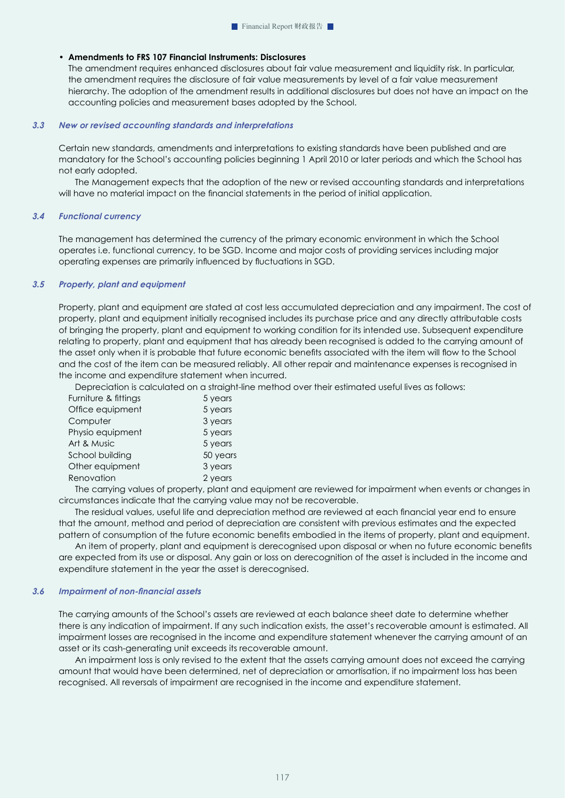# • **Amendments to FRS 107 Financial Instruments: Disclosures**

The amendment requires enhanced disclosures about fair value measurement and liquidity risk. In particular, the amendment requires the disclosure of fair value measurements by level of a fair value measurement hierarchy. The adoption of the amendment results in additional disclosures but does not have an impact on the accounting policies and measurement bases adopted by the School.

#### *3.3 New or revised accounting standards and interpretations*

Certain new standards, amendments and interpretations to existing standards have been published and are mandatory for the School's accounting policies beginning 1 April 2010 or later periods and which the School has not early adopted.

 The Management expects that the adoption of the new or revised accounting standards and interpretations will have no material impact on the financial statements in the period of initial application.

#### *3.4 Functional currency*

The management has determined the currency of the primary economic environment in which the School operates i.e. functional currency, to be SGD. Income and major costs of providing services including major operating expenses are primarily influenced by fluctuations in SGD.

## *3.5 Property, plant and equipment*

Property, plant and equipment are stated at cost less accumulated depreciation and any impairment. The cost of property, plant and equipment initially recognised includes its purchase price and any directly attributable costs of bringing the property, plant and equipment to working condition for its intended use. Subsequent expenditure relating to property, plant and equipment that has already been recognised is added to the carrying amount of the asset only when it is probable that future economic benefits associated with the item will flow to the School and the cost of the item can be measured reliably. All other repair and maintenance expenses is recognised in the income and expenditure statement when incurred.

Depreciation is calculated on a straight-line method over their estimated useful lives as follows:

| Furniture & fittings | 5 years  |
|----------------------|----------|
| Office equipment     | 5 years  |
| Computer             | 3 years  |
| Physio equipment     | 5 years  |
| Art & Music          | 5 years  |
| School building      | 50 years |
| Other equipment      | 3 years  |
| Renovation           | 2 years  |
|                      |          |

The carrying values of property, plant and equipment are reviewed for impairment when events or changes in circumstances indicate that the carrying value may not be recoverable.

The residual values, useful life and depreciation method are reviewed at each financial year end to ensure that the amount, method and period of depreciation are consistent with previous estimates and the expected pattern of consumption of the future economic benefits embodied in the items of property, plant and equipment.

An item of property, plant and equipment is derecognised upon disposal or when no future economic benefits are expected from its use or disposal. Any gain or loss on derecognition of the asset is included in the income and expenditure statement in the year the asset is derecognised.

#### *3.6 Impairment of non-financial assets*

The carrying amounts of the School's assets are reviewed at each balance sheet date to determine whether there is any indication of impairment. If any such indication exists, the asset's recoverable amount is estimated. All impairment losses are recognised in the income and expenditure statement whenever the carrying amount of an asset or its cash-generating unit exceeds its recoverable amount.

 An impairment loss is only revised to the extent that the assets carrying amount does not exceed the carrying amount that would have been determined, net of depreciation or amortisation, if no impairment loss has been recognised. All reversals of impairment are recognised in the income and expenditure statement.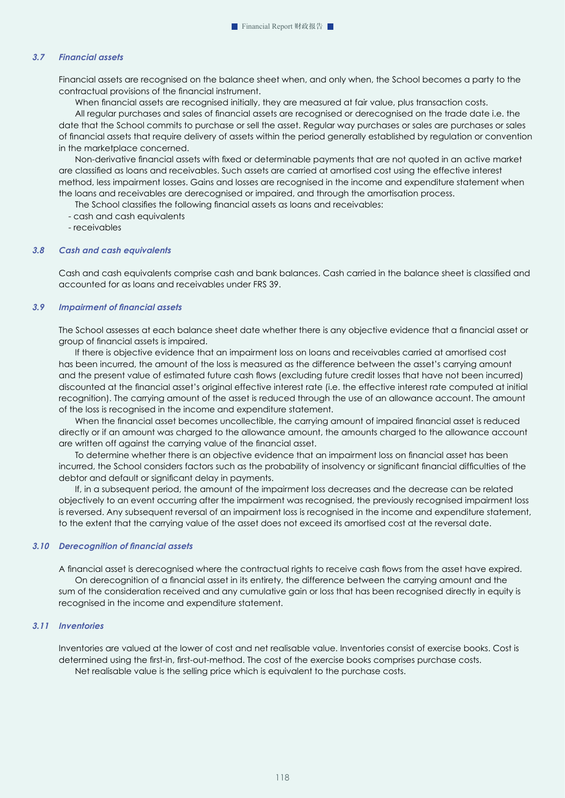## *3.7 Financial assets*

Financial assets are recognised on the balance sheet when, and only when, the School becomes a party to the contractual provisions of the financial instrument.

When financial assets are recognised initially, they are measured at fair value, plus transaction costs.

All regular purchases and sales of financial assets are recognised or derecognised on the trade date i.e. the date that the School commits to purchase or sell the asset. Regular way purchases or sales are purchases or sales of financial assets that require delivery of assets within the period generally established by regulation or convention in the marketplace concerned.

Non-derivative financial assets with fixed or determinable payments that are not quoted in an active market are classified as loans and receivables. Such assets are carried at amortised cost using the effective interest method, less impairment losses. Gains and losses are recognised in the income and expenditure statement when the loans and receivables are derecognised or impaired, and through the amortisation process.

The School classifies the following financial assets as loans and receivables:

- cash and cash equivalents
- receivables

#### *3.8 Cash and cash equivalents*

Cash and cash equivalents comprise cash and bank balances. Cash carried in the balance sheet is classified and accounted for as loans and receivables under FRS 39.

#### *3.9 Impairment of financial assets*

The School assesses at each balance sheet date whether there is any objective evidence that a financial asset or group of financial assets is impaired.

 If there is objective evidence that an impairment loss on loans and receivables carried at amortised cost has been incurred, the amount of the loss is measured as the difference between the asset's carrying amount and the present value of estimated future cash flows (excluding future credit losses that have not been incurred) discounted at the financial asset's original effective interest rate (i.e. the effective interest rate computed at initial recognition). The carrying amount of the asset is reduced through the use of an allowance account. The amount of the loss is recognised in the income and expenditure statement.

When the financial asset becomes uncollectible, the carrying amount of impaired financial asset is reduced directly or if an amount was charged to the allowance amount, the amounts charged to the allowance account are written off against the carrying value of the financial asset.

To determine whether there is an objective evidence that an impairment loss on financial asset has been incurred, the School considers factors such as the probability of insolvency or significant financial difficulties of the debtor and default or significant delay in payments.

If, in a subsequent period, the amount of the impairment loss decreases and the decrease can be related objectively to an event occurring after the impairment was recognised, the previously recognised impairment loss is reversed. Any subsequent reversal of an impairment loss is recognised in the income and expenditure statement, to the extent that the carrying value of the asset does not exceed its amortised cost at the reversal date.

#### *3.10 Derecognition of financial assets*

A financial asset is derecognised where the contractual rights to receive cash flows from the asset have expired. On derecognition of a financial asset in its entirety, the difference between the carrying amount and the sum of the consideration received and any cumulative gain or loss that has been recognised directly in equity is recognised in the income and expenditure statement.

#### *3.11 Inventories*

Inventories are valued at the lower of cost and net realisable value. Inventories consist of exercise books. Cost is determined using the first-in, first-out-method. The cost of the exercise books comprises purchase costs. Net realisable value is the selling price which is equivalent to the purchase costs.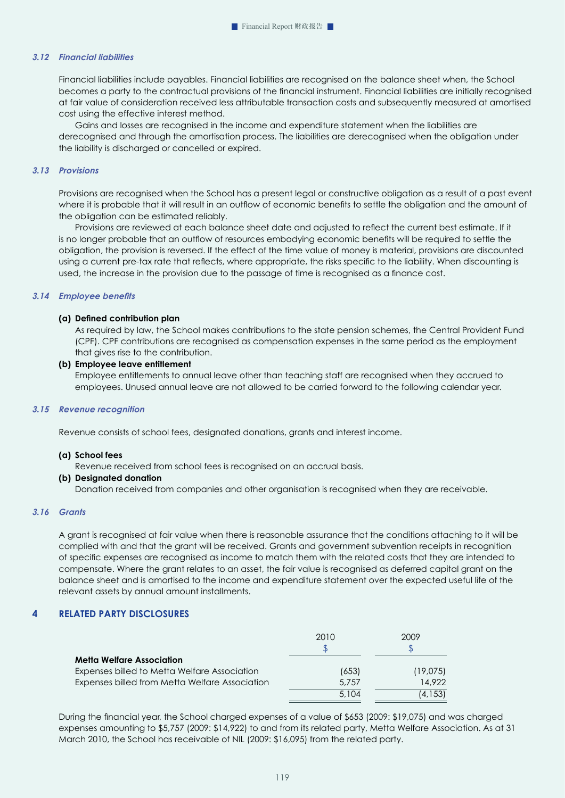## *3.12 Financial liabilities*

Financial liabilities include payables. Financial liabilities are recognised on the balance sheet when, the School becomes a party to the contractual provisions of the financial instrument. Financial liabilities are initially recognised at fair value of consideration received less attributable transaction costs and subsequently measured at amortised cost using the effective interest method.

 Gains and losses are recognised in the income and expenditure statement when the liabilities are derecognised and through the amortisation process. The liabilities are derecognised when the obligation under the liability is discharged or cancelled or expired.

#### *3.13 Provisions*

Provisions are recognised when the School has a present legal or constructive obligation as a result of a past event where it is probable that it will result in an outflow of economic benefits to settle the obligation and the amount of the obligation can be estimated reliably.

Provisions are reviewed at each balance sheet date and adjusted to reflect the current best estimate. If it is no longer probable that an outflow of resources embodying economic benefits will be required to settle the obligation, the provision is reversed. If the effect of the time value of money is material, provisions are discounted using a current pre-tax rate that reflects, where appropriate, the risks specific to the liability. When discounting is used, the increase in the provision due to the passage of time is recognised as a finance cost.

#### *3.14 Employee benefits*

#### **(a) Defined contribution plan**

As required by law, the School makes contributions to the state pension schemes, the Central Provident Fund (CPF). CPF contributions are recognised as compensation expenses in the same period as the employment that gives rise to the contribution.

#### **(b) Employee leave entitlement**

 Employee entitlements to annual leave other than teaching staff are recognised when they accrued to employees. Unused annual leave are not allowed to be carried forward to the following calendar year.

#### *3.15 Revenue recognition*

Revenue consists of school fees, designated donations, grants and interest income.

#### **(a) School fees**

Revenue received from school fees is recognised on an accrual basis.

#### **(b) Designated donation**

Donation received from companies and other organisation is recognised when they are receivable.

# *3.16 Grants*

A grant is recognised at fair value when there is reasonable assurance that the conditions attaching to it will be complied with and that the grant will be received. Grants and government subvention receipts in recognition of specific expenses are recognised as income to match them with the related costs that they are intended to compensate. Where the grant relates to an asset, the fair value is recognised as deferred capital grant on the balance sheet and is amortised to the income and expenditure statement over the expected useful life of the relevant assets by annual amount installments.

## **4 RELATED PARTY DISCLOSURES**

|                                                | 2010  | 2009     |
|------------------------------------------------|-------|----------|
|                                                |       |          |
| <b>Metta Welfare Association</b>               |       |          |
| Expenses billed to Metta Welfare Association   | (653) | (19,075) |
| Expenses billed from Metta Welfare Association | 5.757 | 14.922   |
|                                                | 5.104 | (4,153)  |

During the financial year, the School charged expenses of a value of \$653 (2009: \$19,075) and was charged expenses amounting to \$5,757 (2009: \$14,922) to and from its related party, Metta Welfare Association. As at 31 March 2010, the School has receivable of NIL (2009: \$16,095) from the related party.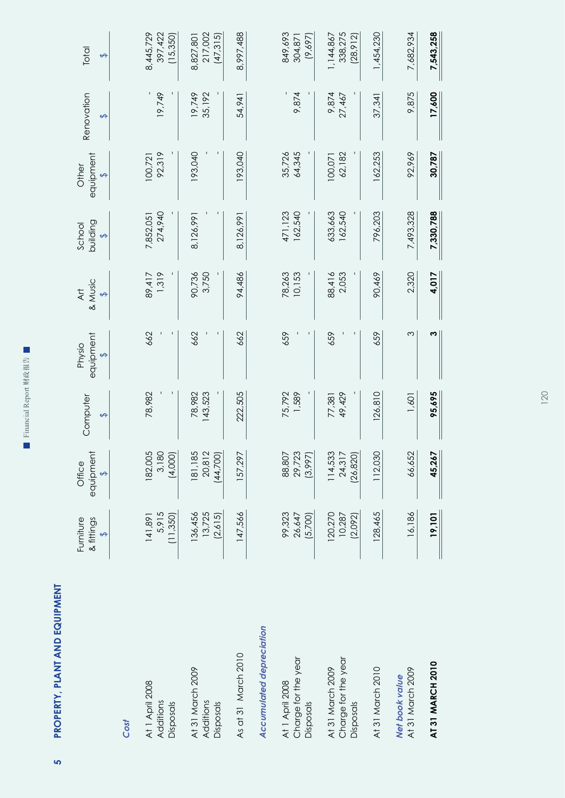■ Financial Report 财政报告 Financial Report 财政报告

> PROPERTY, PLANT AND EQUIPMENT **5 PROPERTY, PLANT AND EQUIPMENT**

ທ $\overline{a}$ 

|                                                      | Furniture<br>& fittings<br>$\leftrightarrow$ | equipment<br>Office<br>$\leftrightarrow$ | Computer<br>$\leftrightarrow$ | equipment<br>Physio<br>$\leftrightarrow$ | Art<br>& Music<br>$\leftrightarrow$ | building<br>School<br>$\leftrightarrow$ | equipment<br>Other<br>$\leftrightarrow$ | Renovation<br>$\leftrightarrow$ | Total<br>$\leftrightarrow$        |
|------------------------------------------------------|----------------------------------------------|------------------------------------------|-------------------------------|------------------------------------------|-------------------------------------|-----------------------------------------|-----------------------------------------|---------------------------------|-----------------------------------|
| Cost                                                 |                                              |                                          |                               |                                          |                                     |                                         |                                         |                                 |                                   |
| At 1 April 2008<br>Additions<br>Disposals            | 5,915<br>(11, 350)<br>141,891                | 182,005<br>3,180<br>(4,000)              | 78,982                        | 662                                      | 1,319<br>89,417                     | 274,940<br>7,852,051                    | 92,319<br>100,721                       | 19,749                          | 397,422<br>8,445,729<br>(15, 350) |
| At 31 March 2009<br>Additions<br>Disposals           | 13,725<br>136,456<br>(2,615)                 | 181,185<br>20,812<br>(44, 700)           | 78,982<br>143,523             | 662                                      | 90,736<br>3,750                     | 8,126,991                               | 193,040                                 | 35,192<br>19,749                | 217,002<br>(47, 315)<br>8,827,801 |
| As at 31 March 2010                                  | 147,566                                      | 157,297                                  | 222,505                       | 662                                      | 94,486                              | 8,126,991                               | 193,040                                 | 54,941                          | 8,997,488                         |
| <b>Accumulated depreciation</b>                      |                                              |                                          |                               |                                          |                                     |                                         |                                         |                                 |                                   |
| Charge for the year<br>At 1 April 2008<br>Disposals  | 99,323<br>(5,700)<br>26,647                  | 88,807<br>29,723<br>(3,997)              | 75,792<br>1,589               | 659                                      | 78,263<br>10,153                    | 471,123<br>162,540                      | 35,726<br>64,345                        | 9,874                           | 849,693<br>(9,697)<br>304,87      |
| Charge for the year<br>At 31 March 2009<br>Disposals | 120,270<br>10,287<br>(2,092)                 | 114,533<br>24,317<br>(26, 820)           | 49,429<br>77,381              | 659                                      | 88,416<br>2,053                     | 633,663<br>162,540                      | 62,182<br>100,071                       | 9,874<br>27,467                 | 338,275<br>1,144,867<br>(28, 912) |
| At 31 March 2010                                     | 128,465                                      | 112,030                                  | 126, 810                      | 659                                      | 90,469                              | 796,203                                 | 162,253                                 | 37,341                          | 1,454,230                         |
| At 31 March 2009<br>Net book value                   | 16,186                                       | 66,652                                   | 1,601                         | Σ                                        | 2,320                               | 7,493,328                               | 92,969                                  | 9,875                           | 7,682,934                         |
| AT 31 MARCH 2010                                     | 19,101                                       | 45,267                                   | 95,695                        | ω                                        | 4,017                               | 7,330,788                               | 30,787                                  | 17,600                          | 7,543,258                         |

120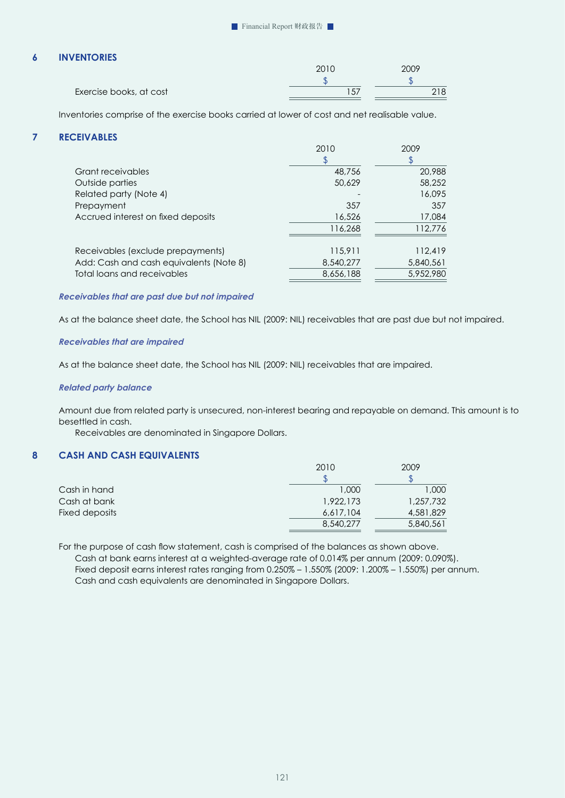# **6 INVENTORIES**

|                         | 2010 |  |
|-------------------------|------|--|
|                         |      |  |
| Exercise books, at cost | ، ب  |  |

Inventories comprise of the exercise books carried at lower of cost and net realisable value.

# **7 RECEIVABLES**

|                             |                                         | 2010      | 2009      |
|-----------------------------|-----------------------------------------|-----------|-----------|
|                             |                                         |           |           |
| Grant receivables           |                                         | 48,756    | 20,988    |
| Outside parties             |                                         | 50,629    | 58,252    |
| Related party (Note 4)      |                                         |           | 16,095    |
| Prepayment                  |                                         | 357       | 357       |
|                             | Accrued interest on fixed deposits      | 16,526    | 17,084    |
|                             |                                         | 116,268   | 112,776   |
|                             | Receivables (exclude prepayments)       | 115,911   | 112,419   |
|                             | Add: Cash and cash equivalents (Note 8) | 8,540,277 | 5,840,561 |
| Total loans and receivables |                                         | 8,656,188 | 5,952,980 |
|                             |                                         |           |           |

## *Receivables that are past due but not impaired*

As at the balance sheet date, the School has NIL (2009: NIL) receivables that are past due but not impaired.

## *Receivables that are impaired*

As at the balance sheet date, the School has NIL (2009: NIL) receivables that are impaired.

#### *Related party balance*

Amount due from related party is unsecured, non-interest bearing and repayable on demand. This amount is to besettled in cash.

Receivables are denominated in Singapore Dollars.

# **8 CASH AND CASH EQUIVALENTS**

|                | 2010      | 2009      |
|----------------|-----------|-----------|
|                |           |           |
| Cash in hand   | 1.000     | 000, 1    |
| Cash at bank   | 1,922,173 | 1,257,732 |
| Fixed deposits | 6,617,104 | 4,581,829 |
|                | 8,540,277 | 5,840,561 |

For the purpose of cash flow statement, cash is comprised of the balances as shown above. Cash at bank earns interest at a weighted-average rate of 0.014% per annum (2009: 0.090%). Fixed deposit earns interest rates ranging from 0.250% – 1.550% (2009: 1.200% – 1.550%) per annum. Cash and cash equivalents are denominated in Singapore Dollars.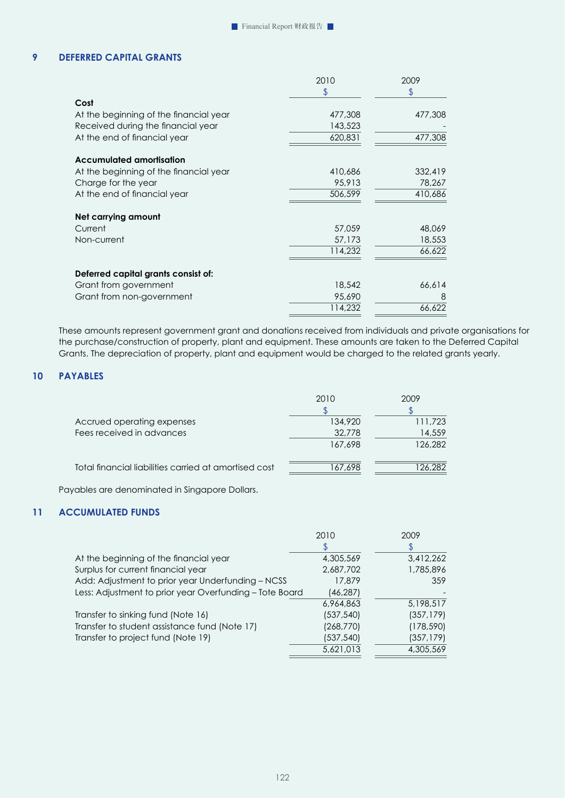# **9 DEFERRED CAPITAL GRANTS**

|                                        | 2010    | 2009    |
|----------------------------------------|---------|---------|
|                                        | \$      | \$      |
| Cost                                   |         |         |
| At the beginning of the financial year | 477,308 | 477,308 |
| Received during the financial year     | 143,523 |         |
| At the end of financial year           | 620,831 | 477,308 |
| <b>Accumulated amortisation</b>        |         |         |
| At the beginning of the financial year | 410,686 | 332,419 |
| Charge for the year                    | 95,913  | 78,267  |
| At the end of financial year           | 506,599 | 410,686 |
| Net carrying amount                    |         |         |
| Current                                | 57,059  | 48,069  |
| Non-current                            | 57,173  | 18,553  |
|                                        | 114,232 | 66,622  |
| Deferred capital grants consist of:    |         |         |
| Grant from government                  | 18,542  | 66,614  |
| Grant from non-government              | 95,690  | 8       |
|                                        | 114,232 | 66,622  |
|                                        |         |         |

These amounts represent government grant and donations received from individuals and private organisations for the purchase/construction of property, plant and equipment. These amounts are taken to the Deferred Capital Grants. The depreciation of property, plant and equipment would be charged to the related grants yearly.

# **10 PAYABLES**

|                                                       | 2010    | 2009    |
|-------------------------------------------------------|---------|---------|
| Accrued operating expenses                            | 134,920 | 111,723 |
| Fees received in advances                             | 32,778  | 14,559  |
|                                                       | 167,698 | 126,282 |
| Total financial liabilities carried at amortised cost | 167,698 | 126,282 |

Payables are denominated in Singapore Dollars.

# **11 ACCUMULATED FUNDS**

|                                                         | 2010       | 2009       |
|---------------------------------------------------------|------------|------------|
|                                                         |            | \$         |
| At the beginning of the financial year                  | 4,305,569  | 3,412,262  |
| Surplus for current financial year                      | 2,687,702  | 1,785,896  |
| Add: Adjustment to prior year Underfunding - NCSS       | 17,879     | 359        |
| Less: Adjustment to prior year Overfunding - Tote Board | (46, 287)  |            |
|                                                         | 6,964,863  | 5,198,517  |
| Transfer to sinking fund (Note 16)                      | (537, 540) | (357, 179) |
| Transfer to student assistance fund (Note 17)           | (268, 770) | (178, 590) |
| Transfer to project fund (Note 19)                      | (537,540)  | (357, 179) |
|                                                         | 5,621,013  | 4,305,569  |
|                                                         |            |            |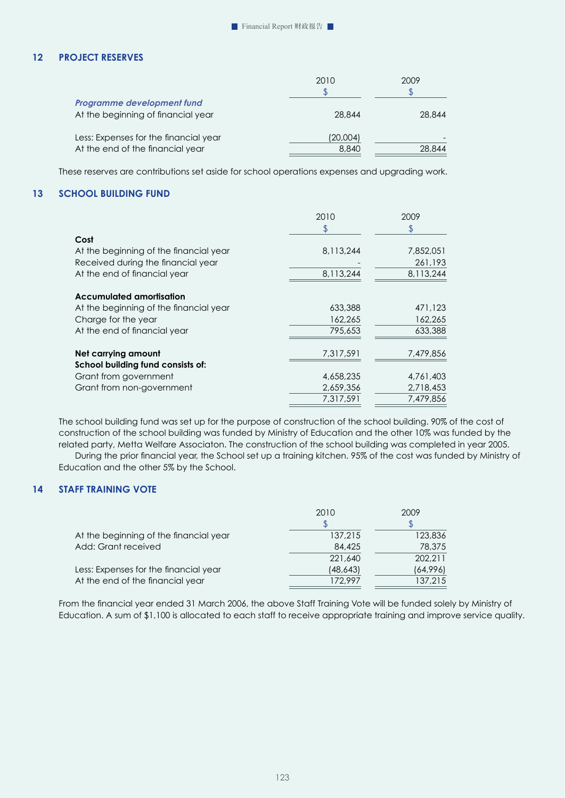# **12 PROJECT RESERVES**

|                                                                           | 2010              | 2009   |
|---------------------------------------------------------------------------|-------------------|--------|
| Programme development fund<br>At the beginning of financial year          | 28,844            | 28,844 |
| Less: Expenses for the financial year<br>At the end of the financial year | (20,004)<br>8,840 | 28,844 |

These reserves are contributions set aside for school operations expenses and upgrading work.

# **13 SCHOOL BUILDING FUND**

|                                        | 2010      | 2009      |
|----------------------------------------|-----------|-----------|
|                                        |           |           |
| Cost                                   |           |           |
| At the beginning of the financial year | 8,113,244 | 7,852,051 |
| Received during the financial year     |           | 261,193   |
| At the end of financial year           | 8.113.244 | 8,113,244 |
| Accumulated amortisation               |           |           |
| At the beginning of the financial year | 633,388   | 471,123   |
| Charge for the year                    | 162,265   | 162,265   |
| At the end of financial year           | 795,653   | 633,388   |
| Net carrying amount                    | 7,317,591 | 7,479,856 |
| School building fund consists of:      |           |           |
| Grant from government                  | 4,658,235 | 4,761,403 |
| Grant from non-government              | 2,659,356 | 2,718,453 |
|                                        | 7.317.591 | 7,479,856 |

The school building fund was set up for the purpose of construction of the school building. 90% of the cost of construction of the school building was funded by Ministry of Education and the other 10% was funded by the related party, Metta Welfare Associaton. The construction of the school building was completed in year 2005.

During the prior financial year, the School set up a training kitchen. 95% of the cost was funded by Ministry of Education and the other 5% by the School.

# **14 STAFF TRAINING VOTE**

|                                        | 2010     | 2009     |
|----------------------------------------|----------|----------|
|                                        |          |          |
| At the beginning of the financial year | 137,215  | 123,836  |
| Add: Grant received                    | 84,425   | 78,375   |
|                                        | 221,640  | 202,211  |
| Less: Expenses for the financial year  | (48,643) | (64,996) |
| At the end of the financial year       | 172.997  | 137,215  |

From the financial year ended 31 March 2006, the above Staff Training Vote will be funded solely by Ministry of Education. A sum of \$1,100 is allocated to each staff to receive appropriate training and improve service quality.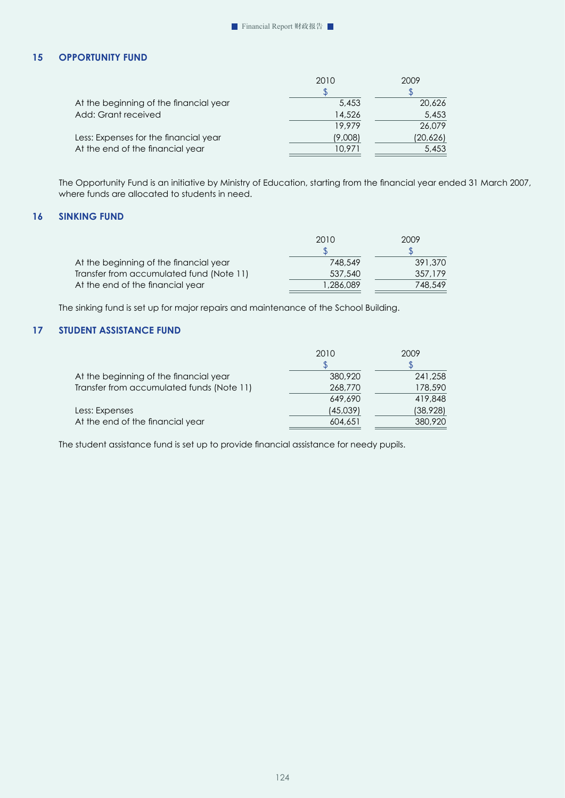# **15 OPPORTUNITY FUND**

|                                        | 2010    | 2009     |
|----------------------------------------|---------|----------|
|                                        |         |          |
| At the beginning of the financial year | 5,453   | 20,626   |
| Add: Grant received                    | 14,526  | 5,453    |
|                                        | 19.979  | 26.079   |
| Less: Expenses for the financial year  | (9,008) | (20,626) |
| At the end of the financial year       | 10.971  | 5,453    |
|                                        |         |          |

The Opportunity Fund is an initiative by Ministry of Education, starting from the financial year ended 31 March 2007, where funds are allocated to students in need.

# **16 SINKING FUND**

|                                          | 2010     | 2009    |
|------------------------------------------|----------|---------|
|                                          |          |         |
| At the beginning of the financial year   | 748.549  | 391,370 |
| Transfer from accumulated fund (Note 11) | 537,540  | 357.179 |
| At the end of the financial year         | .286.089 | 748,549 |

The sinking fund is set up for major repairs and maintenance of the School Building.

# **17 STUDENT ASSISTANCE FUND**

|                                           | 2010     | 2009      |
|-------------------------------------------|----------|-----------|
|                                           |          |           |
| At the beginning of the financial year    | 380,920  | 241,258   |
| Transfer from accumulated funds (Note 11) | 268,770  | 178,590   |
|                                           | 649,690  | 419,848   |
| Less: Expenses                            | (45,039) | (38, 928) |
| At the end of the financial year          | 604,651  | 380,920   |
|                                           |          |           |

The student assistance fund is set up to provide financial assistance for needy pupils.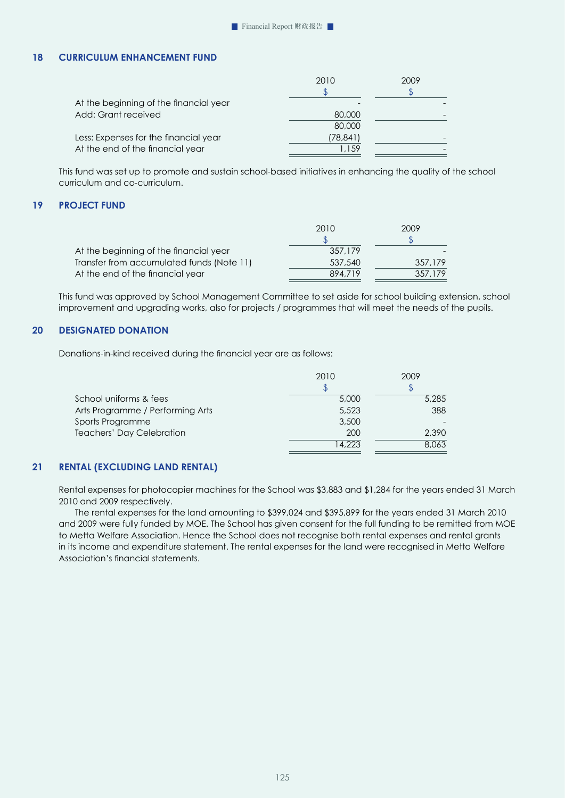# **18 CURRICULUM ENHANCEMENT FUND**

|                                        | 2010     | 2009 |
|----------------------------------------|----------|------|
|                                        |          |      |
| At the beginning of the financial year |          |      |
| Add: Grant received                    | 80,000   |      |
|                                        | 80,000   |      |
| Less: Expenses for the financial year  | (78,841) |      |
| At the end of the financial year       | 1.159    |      |
|                                        |          |      |

This fund was set up to promote and sustain school-based initiatives in enhancing the quality of the school curriculum and co-curriculum.

## **19 PROJECT FUND**

|                                           | 2010    | 2009    |
|-------------------------------------------|---------|---------|
|                                           |         |         |
| At the beginning of the financial year    | 357,179 |         |
| Transfer from accumulated funds (Note 11) | 537,540 | 357,179 |
| At the end of the financial year          | 894,719 | 357,179 |

This fund was approved by School Management Committee to set aside for school building extension, school improvement and upgrading works, also for projects / programmes that will meet the needs of the pupils.

# **20 DESIGNATED DONATION**

Donations-in-kind received during the financial year are as follows:

|                                  | 2010   | 2009  |
|----------------------------------|--------|-------|
|                                  |        |       |
| School uniforms & fees           | 5,000  | 5,285 |
| Arts Programme / Performing Arts | 5,523  | 388   |
| Sports Programme                 | 3,500  |       |
| <b>Teachers' Day Celebration</b> | 200    | 2,390 |
|                                  | 14,223 | 8.063 |

# **21 RENTAL (EXCLUDING LAND RENTAL)**

Rental expenses for photocopier machines for the School was \$3,883 and \$1,284 for the years ended 31 March 2010 and 2009 respectively.

 The rental expenses for the land amounting to \$399,024 and \$395,899 for the years ended 31 March 2010 and 2009 were fully funded by MOE. The School has given consent for the full funding to be remitted from MOE to Metta Welfare Association. Hence the School does not recognise both rental expenses and rental grants in its income and expenditure statement. The rental expenses for the land were recognised in Metta Welfare Association's financial statements.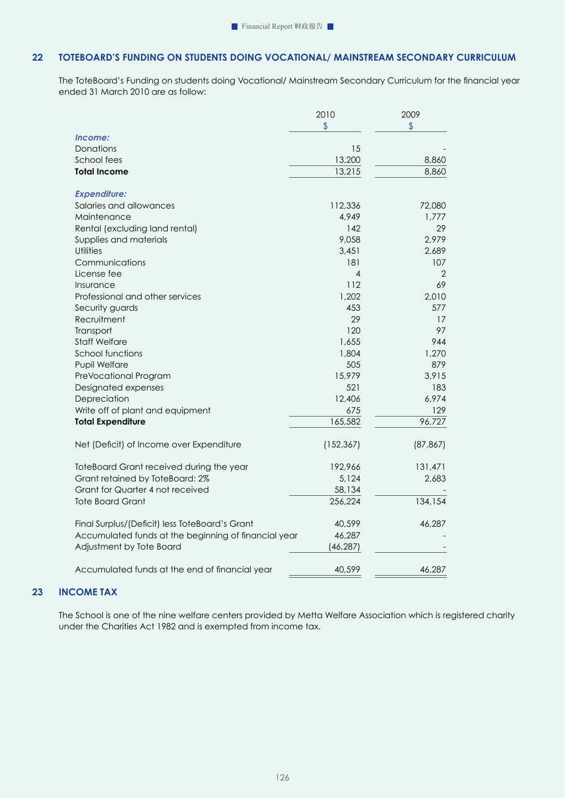# **22 TOTEBOARD'S FUNDING ON STUDENTS DOING VOCATIONAL/ MAINSTREAM SECONDARY CURRICULUM**

The ToteBoard's Funding on students doing Vocational/ Mainstream Secondary Curriculum for the financial year ended 31 March 2010 are as follow:

|                                                      | 2010                    | 2009      |
|------------------------------------------------------|-------------------------|-----------|
|                                                      | $\sqrt[6]{\frac{1}{2}}$ | \$        |
| Income:                                              |                         |           |
| Donations                                            | 15                      |           |
| School fees                                          | 13,200                  | 8,860     |
| <b>Total Income</b>                                  | 13,215                  | 8,860     |
| <b>Expenditure:</b>                                  |                         |           |
| Salaries and allowances                              | 112,336                 | 72,080    |
| Maintenance                                          | 4,949                   | 1,777     |
| Rental (excluding land rental)                       | 142                     | 29        |
| Supplies and materials                               | 9,058                   | 2,979     |
| Utilities                                            | 3,451                   | 2,689     |
| Communications                                       | 181                     | 107       |
| License fee                                          | 4                       | 2         |
| Insurance                                            | 112                     | 69        |
| Professional and other services                      | 1,202                   | 2,010     |
| Security guards                                      | 453                     | 577       |
| Recruitment                                          | 29                      | 17        |
| Transport                                            | 120                     | 97        |
| <b>Staff Welfare</b>                                 | 1,655                   | 944       |
| School functions                                     | 1,804                   | 1,270     |
| Pupil Welfare                                        | 505                     | 879       |
| PreVocational Program                                | 15,979                  | 3,915     |
| Designated expenses                                  | 521                     | 183       |
| Depreciation                                         | 12,406                  | 6,974     |
| Write off of plant and equipment                     | 675                     | 129       |
| <b>Total Expenditure</b>                             | 165,582                 | 96,727    |
| Net (Deficit) of Income over Expenditure             | (152, 367)              | (87, 867) |
| ToteBoard Grant received during the year             | 192,966                 | 131,471   |
| Grant retained by ToteBoard: 2%                      | 5,124                   | 2,683     |
| Grant for Quarter 4 not received                     | 58,134                  |           |
| <b>Tote Board Grant</b>                              | 256,224                 | 134,154   |
| Final Surplus/(Deficit) less ToteBoard's Grant       | 40,599                  | 46,287    |
| Accumulated funds at the beginning of financial year | 46,287                  |           |
| Adjustment by Tote Board                             | (46, 287)               |           |
| Accumulated funds at the end of financial year       | 40,599                  | 46,287    |

# **23 INCOME TAX**

The School is one of the nine welfare centers provided by Metta Welfare Association which is registered charity under the Charities Act 1982 and is exempted from income tax.